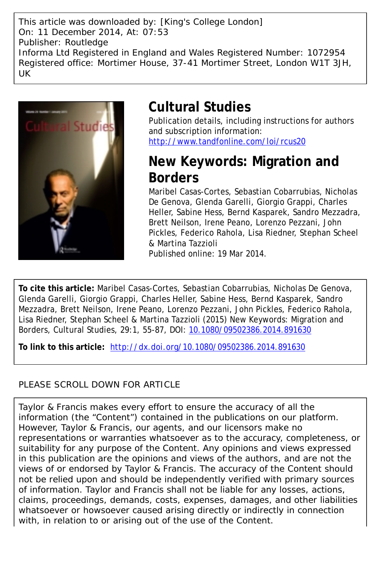This article was downloaded by: [King's College London] On: 11 December 2014, At: 07:53 Publisher: Routledge Informa Ltd Registered in England and Wales Registered Number: 1072954 Registered office: Mortimer House, 37-41 Mortimer Street, London W1T 3JH, UK



# **Cultural Studies**

Publication details, including instructions for authors and subscription information: <http://www.tandfonline.com/loi/rcus20>

# **New Keywords: Migration and Borders**

Maribel Casas-Cortes, Sebastian Cobarrubias, Nicholas De Genova, Glenda Garelli, Giorgio Grappi, Charles Heller, Sabine Hess, Bernd Kasparek, Sandro Mezzadra, Brett Neilson, Irene Peano, Lorenzo Pezzani, John Pickles, Federico Rahola, Lisa Riedner, Stephan Scheel & Martina Tazzioli Published online: 19 Mar 2014.

**To cite this article:** Maribel Casas-Cortes, Sebastian Cobarrubias, Nicholas De Genova, Glenda Garelli, Giorgio Grappi, Charles Heller, Sabine Hess, Bernd Kasparek, Sandro Mezzadra, Brett Neilson, Irene Peano, Lorenzo Pezzani, John Pickles, Federico Rahola, Lisa Riedner, Stephan Scheel & Martina Tazzioli (2015) New Keywords: Migration and Borders, Cultural Studies, 29:1, 55-87, DOI: [10.1080/09502386.2014.891630](http://www.tandfonline.com/action/showCitFormats?doi=10.1080/09502386.2014.891630)

**To link to this article:** <http://dx.doi.org/10.1080/09502386.2014.891630>

# PLEASE SCROLL DOWN FOR ARTICLE

Taylor & Francis makes every effort to ensure the accuracy of all the information (the "Content") contained in the publications on our platform. However, Taylor & Francis, our agents, and our licensors make no representations or warranties whatsoever as to the accuracy, completeness, or suitability for any purpose of the Content. Any opinions and views expressed in this publication are the opinions and views of the authors, and are not the views of or endorsed by Taylor & Francis. The accuracy of the Content should not be relied upon and should be independently verified with primary sources of information. Taylor and Francis shall not be liable for any losses, actions, claims, proceedings, demands, costs, expenses, damages, and other liabilities whatsoever or howsoever caused arising directly or indirectly in connection with, in relation to or arising out of the use of the Content.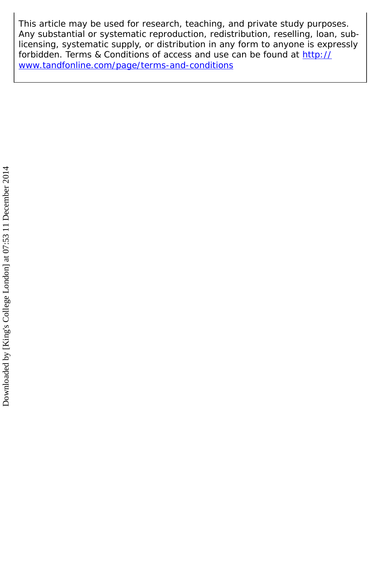This article may be used for research, teaching, and private study purposes. Any substantial or systematic reproduction, redistribution, reselling, loan, sublicensing, systematic supply, or distribution in any form to anyone is expressly forbidden. Terms & Conditions of access and use can be found at [http://](http://www.tandfonline.com/page/terms-and-conditions) [www.tandfonline.com/page/terms-and-conditions](http://www.tandfonline.com/page/terms-and-conditions)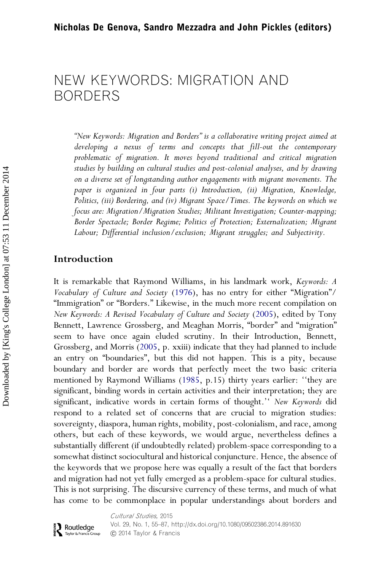# NEW KEYWORDS: MIGRATION AND BORDERS

"New Keywords: Migration and Borders" is a collaborative writing project aimed at developing a nexus of terms and concepts that fill-out the contemporary problematic of migration. It moves beyond traditional and critical migration studies by building on cultural studies and post-colonial analyses, and by drawing on a diverse set of longstanding author engagements with migrant movements. The paper is organized in four parts (i) Introduction, (ii) Migration, Knowledge, Politics, (iii) Bordering, and (iv) Migrant Space/Times. The keywords on which we focus are: Migration/Migration Studies; Militant Investigation; Counter-mapping; Border Spectacle; Border Regime; Politics of Protection; Externalization; Migrant Labour; Differential inclusion/exclusion; Migrant struggles; and Subjectivity.

# Introduction

It is remarkable that Raymond Williams, in his landmark work, Keywords: A Vocabulary of Culture and Society ([1976\)](#page-8-0), has no entry for either "Migration"/ "Immigration" or "Borders." Likewise, in the much more recent compilation on New Keywords: A Revised Vocabulary of Culture and Society ([2005](#page-7-0)), edited by Tony Bennett, Lawrence Grossberg, and Meaghan Morris, "border" and "migration" seem to have once again eluded scrutiny. In their Introduction, Bennett, Grossberg, and Morris [\(2005,](#page-7-0) p. xxiii) indicate that they had planned to include an entry on "boundaries", but this did not happen. This is a pity, because boundary and border are words that perfectly meet the two basic criteria mentioned by Raymond Williams [\(1985,](#page-8-0) p.15) thirty years earlier: ''they are significant, binding words in certain activities and their interpretation; they are significant, indicative words in certain forms of thought.'' New Keywords did respond to a related set of concerns that are crucial to migration studies: sovereignty, diaspora, human rights, mobility, post-colonialism, and race, among others, but each of these keywords, we would argue, nevertheless defines a substantially different (if undoubtedly related) problem-space corresponding to a somewhat distinct sociocultural and historical conjuncture. Hence, the absence of the keywords that we propose here was equally a result of the fact that borders and migration had not yet fully emerged as a problem-space for cultural studies. This is not surprising. The discursive currency of these terms, and much of what has come to be commonplace in popular understandings about borders and



Cultural Studies, 2015 Vol. 29, No. 1, 55–87,<http://dx.doi.org/10.1080/09502386.2014.891630>  $\sum_{\text{Taylor of a Francis Group}}^{\text{2D}}$  No. 29, No. 1, 55–87, nu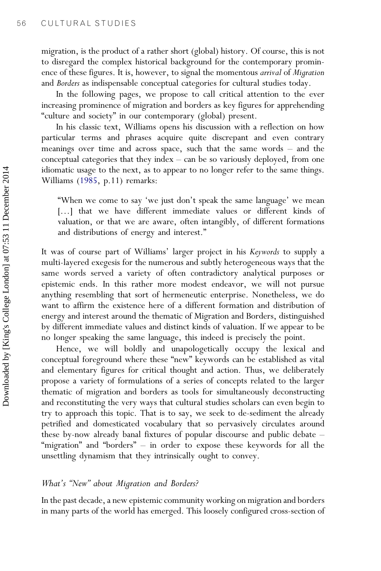migration, is the product of a rather short (global) history. Of course, this is not to disregard the complex historical background for the contemporary prominence of these figures. It is, however, to signal the momentous arrival of Migration and Borders as indispensable conceptual categories for cultural studies today.

In the following pages, we propose to call critical attention to the ever increasing prominence of migration and borders as key figures for apprehending "culture and society" in our contemporary (global) present.

In his classic text, Williams opens his discussion with a reflection on how particular terms and phrases acquire quite discrepant and even contrary meanings over time and across space, such that the same words – and the conceptual categories that they index – can be so variously deployed, from one idiomatic usage to the next, as to appear to no longer refer to the same things. Williams ([1985](#page-8-0), p.11) remarks:

"When we come to say 'we just don't speak the same language' we mean […] that we have different immediate values or different kinds of valuation, or that we are aware, often intangibly, of different formations and distributions of energy and interest."

It was of course part of Williams' larger project in his Keywords to supply a multi-layered exegesis for the numerous and subtly heterogeneous ways that the same words served a variety of often contradictory analytical purposes or epistemic ends. In this rather more modest endeavor, we will not pursue anything resembling that sort of hermeneutic enterprise. Nonetheless, we do want to affirm the existence here of a different formation and distribution of energy and interest around the thematic of Migration and Borders, distinguished by different immediate values and distinct kinds of valuation. If we appear to be no longer speaking the same language, this indeed is precisely the point.

Hence, we will boldly and unapologetically occupy the lexical and conceptual foreground where these "new" keywords can be established as vital and elementary figures for critical thought and action. Thus, we deliberately propose a variety of formulations of a series of concepts related to the larger thematic of migration and borders as tools for simultaneously deconstructing and reconstituting the very ways that cultural studies scholars can even begin to try to approach this topic. That is to say, we seek to de-sediment the already petrified and domesticated vocabulary that so pervasively circulates around these by-now already banal fixtures of popular discourse and public debate – "migration" and "borders" – in order to expose these keywords for all the unsettling dynamism that they intrinsically ought to convey.

### What's "New" about Migration and Borders?

In the past decade, a new epistemic community working on migration and borders in many parts of the world has emerged. This loosely configured cross-section of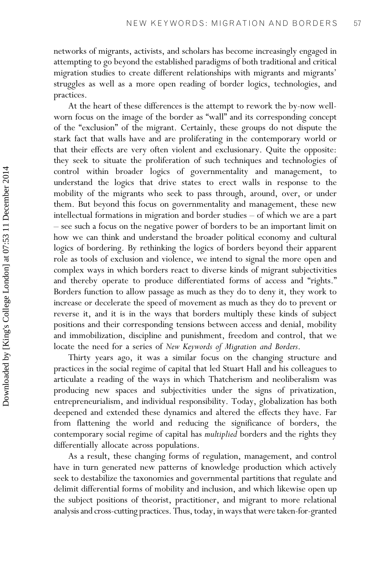networks of migrants, activists, and scholars has become increasingly engaged in attempting to go beyond the established paradigms of both traditional and critical migration studies to create different relationships with migrants and migrants' struggles as well as a more open reading of border logics, technologies, and practices.

At the heart of these differences is the attempt to rework the by-now wellworn focus on the image of the border as "wall" and its corresponding concept of the "exclusion" of the migrant. Certainly, these groups do not dispute the stark fact that walls have and are proliferating in the contemporary world or that their effects are very often violent and exclusionary. Quite the opposite: they seek to situate the proliferation of such techniques and technologies of control within broader logics of governmentality and management, to understand the logics that drive states to erect walls in response to the mobility of the migrants who seek to pass through, around, over, or under them. But beyond this focus on governmentality and management, these new intellectual formations in migration and border studies – of which we are a part – see such a focus on the negative power of borders to be an important limit on how we can think and understand the broader political economy and cultural logics of bordering. By rethinking the logics of borders beyond their apparent role as tools of exclusion and violence, we intend to signal the more open and complex ways in which borders react to diverse kinds of migrant subjectivities and thereby operate to produce differentiated forms of access and "rights." Borders function to allow passage as much as they do to deny it, they work to increase or decelerate the speed of movement as much as they do to prevent or reverse it, and it is in the ways that borders multiply these kinds of subject positions and their corresponding tensions between access and denial, mobility and immobilization, discipline and punishment, freedom and control, that we locate the need for a series of New Keywords of Migration and Borders.

Thirty years ago, it was a similar focus on the changing structure and practices in the social regime of capital that led Stuart Hall and his colleagues to articulate a reading of the ways in which Thatcherism and neoliberalism was producing new spaces and subjectivities under the signs of privatization, entrepreneurialism, and individual responsibility. Today, globalization has both deepened and extended these dynamics and altered the effects they have. Far from flattening the world and reducing the significance of borders, the contemporary social regime of capital has multiplied borders and the rights they differentially allocate across populations.

As a result, these changing forms of regulation, management, and control have in turn generated new patterns of knowledge production which actively seek to destabilize the taxonomies and governmental partitions that regulate and delimit differential forms of mobility and inclusion, and which likewise open up the subject positions of theorist, practitioner, and migrant to more relational analysis and cross-cutting practices. Thus, today, in ways that were taken-for-granted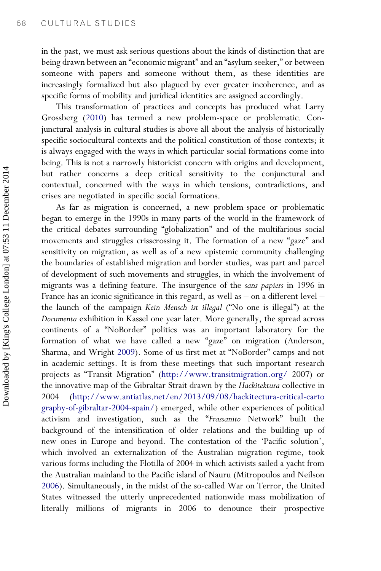in the past, we must ask serious questions about the kinds of distinction that are being drawn between an "economic migrant" and an "asylum seeker," or between someone with papers and someone without them, as these identities are increasingly formalized but also plagued by ever greater incoherence, and as specific forms of mobility and juridical identities are assigned accordingly.

This transformation of practices and concepts has produced what Larry Grossberg ([2010](#page-8-0)) has termed a new problem-space or problematic. Conjunctural analysis in cultural studies is above all about the analysis of historically specific sociocultural contexts and the political constitution of those contexts; it is always engaged with the ways in which particular social formations come into being. This is not a narrowly historicist concern with origins and development, but rather concerns a deep critical sensitivity to the conjunctural and contextual, concerned with the ways in which tensions, contradictions, and crises are negotiated in specific social formations.

As far as migration is concerned, a new problem-space or problematic began to emerge in the 1990s in many parts of the world in the framework of the critical debates surrounding "globalization" and of the multifarious social movements and struggles crisscrossing it. The formation of a new "gaze" and sensitivity on migration, as well as of a new epistemic community challenging the boundaries of established migration and border studies, was part and parcel of development of such movements and struggles, in which the involvement of migrants was a defining feature. The insurgence of the sans papiers in 1996 in France has an iconic significance in this regard, as well as – on a different level – the launch of the campaign Kein Mensch ist illegal ("No one is illegal") at the Documenta exhibition in Kassel one year later. More generally, the spread across continents of a "NoBorder" politics was an important laboratory for the formation of what we have called a new "gaze" on migration (Anderson, Sharma, and Wright [2009\)](#page-7-0). Some of us first met at "NoBorder" camps and not in academic settings. It is from these meetings that such important research projects as "Transit Migration" (<http://www.transitmigration.org/> 2007) or the innovative map of the Gibraltar Strait drawn by the Hackitektura collective in 2004 [\(http://www.antiatlas.net/en/2013/09/08/hackitectura-critical-carto](http://www.antiatlas.net/en/2013/09/08/hackitectura-critical-cartography-of-gibraltar-2004-spain/) [graphy-of-gibraltar-2004-spain/\)](http://www.antiatlas.net/en/2013/09/08/hackitectura-critical-cartography-of-gibraltar-2004-spain/) emerged, while other experiences of political activism and investigation, such as the "Frassanito Network" built the background of the intensification of older relations and the building up of new ones in Europe and beyond. The contestation of the 'Pacific solution', which involved an externalization of the Australian migration regime, took various forms including the Flotilla of 2004 in which activists sailed a yacht from the Australian mainland to the Pacific island of Nauru (Mitropoulos and Neilson [2006\)](#page-8-0). Simultaneously, in the midst of the so-called War on Terror, the United States witnessed the utterly unprecedented nationwide mass mobilization of literally millions of migrants in 2006 to denounce their prospective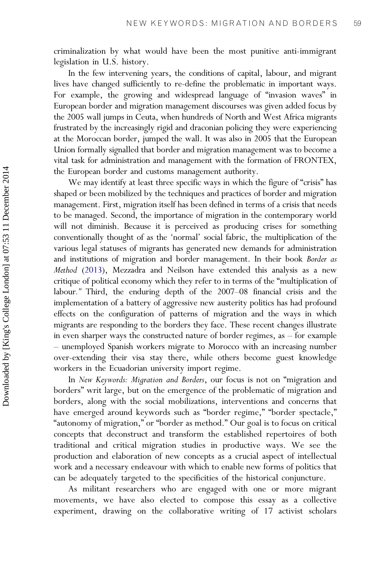criminalization by what would have been the most punitive anti-immigrant legislation in U.S. history.

In the few intervening years, the conditions of capital, labour, and migrant lives have changed sufficiently to re-define the problematic in important ways. For example, the growing and widespread language of "invasion waves" in European border and migration management discourses was given added focus by the 2005 wall jumps in Ceuta, when hundreds of North and West Africa migrants frustrated by the increasingly rigid and draconian policing they were experiencing at the Moroccan border, jumped the wall. It was also in 2005 that the European Union formally signalled that border and migration management was to become a vital task for administration and management with the formation of FRONTEX, the European border and customs management authority.

We may identify at least three specific ways in which the figure of "crisis" has shaped or been mobilized by the techniques and practices of border and migration management. First, migration itself has been defined in terms of a crisis that needs to be managed. Second, the importance of migration in the contemporary world will not diminish. Because it is perceived as producing crises for something conventionally thought of as the 'normal' social fabric, the multiplication of the various legal statuses of migrants has generated new demands for administration and institutions of migration and border management. In their book Border as Method [\(2013](#page-32-0)), Mezzadra and Neilson have extended this analysis as a new critique of political economy which they refer to in terms of the "multiplication of labour." Third, the enduring depth of the 2007–08 financial crisis and the implementation of a battery of aggressive new austerity politics has had profound effects on the configuration of patterns of migration and the ways in which migrants are responding to the borders they face. These recent changes illustrate in even sharper ways the constructed nature of border regimes, as – for example – unemployed Spanish workers migrate to Morocco with an increasing number over-extending their visa stay there, while others become guest knowledge workers in the Ecuadorian university import regime.

In New Keywords: Migration and Borders, our focus is not on "migration and borders" writ large, but on the emergence of the problematic of migration and borders, along with the social mobilizations, interventions and concerns that have emerged around keywords such as "border regime," "border spectacle," "autonomy of migration," or "border as method." Our goal is to focus on critical concepts that deconstruct and transform the established repertoires of both traditional and critical migration studies in productive ways. We see the production and elaboration of new concepts as a crucial aspect of intellectual work and a necessary endeavour with which to enable new forms of politics that can be adequately targeted to the specificities of the historical conjuncture.

As militant researchers who are engaged with one or more migrant movements, we have also elected to compose this essay as a collective experiment, drawing on the collaborative writing of 17 activist scholars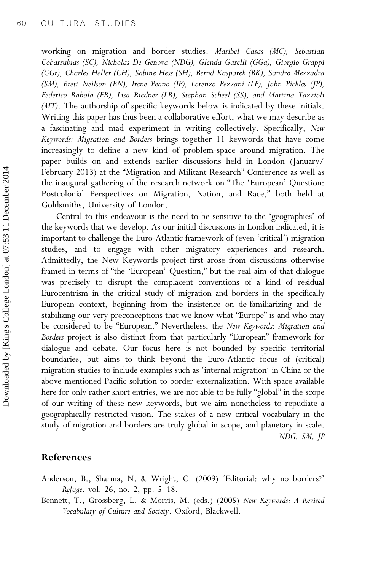<span id="page-7-0"></span>working on migration and border studies. Maribel Casas (MC), Sebastian Cobarrubias (SC), Nicholas De Genova (NDG), Glenda Garelli (GGa), Giorgio Grappi (GGr), Charles Heller (CH), Sabine Hess (SH), Bernd Kasparek (BK), Sandro Mezzadra (SM), Brett Neilson (BN), Irene Peano (IP), Lorenzo Pezzani (LP), John Pickles (JP), Federico Rahola (FR), Lisa Riedner (LR), Stephan Scheel (SS), and Martina Tazzioli (MT). The authorship of specific keywords below is indicated by these initials. Writing this paper has thus been a collaborative effort, what we may describe as a fascinating and mad experiment in writing collectively. Specifically, New Keywords: Migration and Borders brings together 11 keywords that have come increasingly to define a new kind of problem-space around migration. The paper builds on and extends earlier discussions held in London (January/ February 2013) at the "Migration and Militant Research" Conference as well as the inaugural gathering of the research network on "The 'European' Question: Postcolonial Perspectives on Migration, Nation, and Race," both held at Goldsmiths, University of London.

Central to this endeavour is the need to be sensitive to the 'geographies' of the keywords that we develop. As our initial discussions in London indicated, it is important to challenge the Euro-Atlantic framework of (even 'critical') migration studies, and to engage with other migratory experiences and research. Admittedly, the New Keywords project first arose from discussions otherwise framed in terms of "the 'European' Question," but the real aim of that dialogue was precisely to disrupt the complacent conventions of a kind of residual Eurocentrism in the critical study of migration and borders in the specifically European context, beginning from the insistence on de-familiarizing and destabilizing our very preconceptions that we know what "Europe" is and who may be considered to be "European." Nevertheless, the New Keywords: Migration and Borders project is also distinct from that particularly "European" framework for dialogue and debate. Our focus here is not bounded by specific territorial boundaries, but aims to think beyond the Euro-Atlantic focus of (critical) migration studies to include examples such as 'internal migration' in China or the above mentioned Pacific solution to border externalization. With space available here for only rather short entries, we are not able to be fully "global" in the scope of our writing of these new keywords, but we aim nonetheless to repudiate a geographically restricted vision. The stakes of a new critical vocabulary in the study of migration and borders are truly global in scope, and planetary in scale. NDG, SM, JP

### References

Anderson, B., Sharma, N. & Wright, C. (2009) 'Editorial: why no borders?' Refuge, vol. 26, no. 2, pp. 5–18.

Bennett, T., Grossberg, L. & Morris, M. (eds.) (2005) New Keywords: A Revised Vocabulary of Culture and Society. Oxford, Blackwell.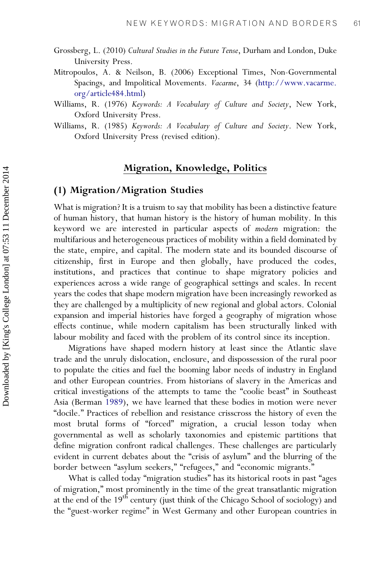- <span id="page-8-0"></span>Grossberg, L. (2010) Cultural Studies in the Future Tense, Durham and London, Duke University Press.
- Mitropoulos, A. & Neilson, B. (2006) Exceptional Times, Non-Governmental Spacings, and Impolitical Movements. Vacarme, 34 [\(http://www.vacarme.](http://www.vacarme.org/article484.html) [org/article484.html\)](http://www.vacarme.org/article484.html)
- Williams, R. (1976) Keywords: A Vocabulary of Culture and Society, New York, Oxford University Press.
- Williams, R. (1985) Keywords: A Vocabulary of Culture and Society. New York, Oxford University Press (revised edition).

### Migration, Knowledge, Politics

# (1) Migration/Migration Studies

What is migration? It is a truism to say that mobility has been a distinctive feature of human history, that human history is the history of human mobility. In this keyword we are interested in particular aspects of modern migration: the multifarious and heterogeneous practices of mobility within a field dominated by the state, empire, and capital. The modern state and its bounded discourse of citizenship, first in Europe and then globally, have produced the codes, institutions, and practices that continue to shape migratory policies and experiences across a wide range of geographical settings and scales. In recent years the codes that shape modern migration have been increasingly reworked as they are challenged by a multiplicity of new regional and global actors. Colonial expansion and imperial histories have forged a geography of migration whose effects continue, while modern capitalism has been structurally linked with labour mobility and faced with the problem of its control since its inception.

Migrations have shaped modern history at least since the Atlantic slave trade and the unruly dislocation, enclosure, and dispossession of the rural poor to populate the cities and fuel the booming labor needs of industry in England and other European countries. From historians of slavery in the Americas and critical investigations of the attempts to tame the "coolie beast" in Southeast Asia (Berman [1989\)](#page-9-0), we have learned that these bodies in motion were never "docile." Practices of rebellion and resistance crisscross the history of even the most brutal forms of "forced" migration, a crucial lesson today when governmental as well as scholarly taxonomies and epistemic partitions that define migration confront radical challenges. These challenges are particularly evident in current debates about the "crisis of asylum" and the blurring of the border between "asylum seekers," "refugees," and "economic migrants."

What is called today "migration studies" has its historical roots in past "ages of migration," most prominently in the time of the great transatlantic migration at the end of the  $19<sup>th</sup>$  century (just think of the Chicago School of sociology) and the "guest-worker regime" in West Germany and other European countries in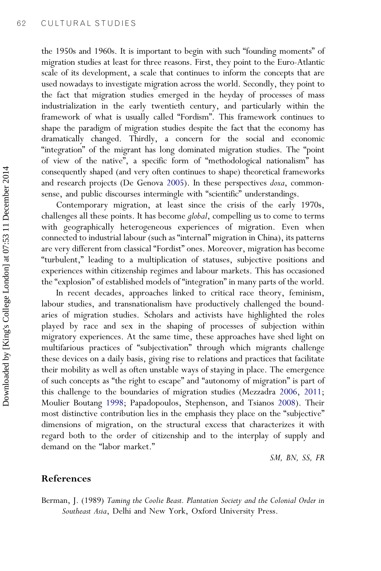<span id="page-9-0"></span>the 1950s and 1960s. It is important to begin with such "founding moments" of migration studies at least for three reasons. First, they point to the Euro-Atlantic scale of its development, a scale that continues to inform the concepts that are used nowadays to investigate migration across the world. Secondly, they point to the fact that migration studies emerged in the heyday of processes of mass industrialization in the early twentieth century, and particularly within the framework of what is usually called "Fordism". This framework continues to shape the paradigm of migration studies despite the fact that the economy has dramatically changed. Thirdly, a concern for the social and economic "integration" of the migrant has long dominated migration studies. The "point of view of the native", a specific form of "methodological nationalism" has consequently shaped (and very often continues to shape) theoretical frameworks and research projects (De Genova [2005\)](#page-10-0). In these perspectives doxa, commonsense, and public discourses intermingle with "scientific" understandings.

Contemporary migration, at least since the crisis of the early 1970s, challenges all these points. It has become *global*, compelling us to come to terms with geographically heterogeneous experiences of migration. Even when connected to industrial labour (such as "internal" migration in China), its patterns are very different from classical "Fordist" ones. Moreover, migration has become "turbulent," leading to a multiplication of statuses, subjective positions and experiences within citizenship regimes and labour markets. This has occasioned the "explosion" of established models of "integration" in many parts of the world.

In recent decades, approaches linked to critical race theory, feminism, labour studies, and transnationalism have productively challenged the boundaries of migration studies. Scholars and activists have highlighted the roles played by race and sex in the shaping of processes of subjection within migratory experiences. At the same time, these approaches have shed light on multifarious practices of "subjectivation" through which migrants challenge these devices on a daily basis, giving rise to relations and practices that facilitate their mobility as well as often unstable ways of staying in place. The emergence of such concepts as "the right to escape" and "autonomy of migration" is part of this challenge to the boundaries of migration studies (Mezzadra [2006](#page-10-0), [2011;](#page-10-0) Moulier Boutang [1998;](#page-30-0) Papadopoulos, Stephenson, and Tsianos [2008](#page-30-0)). Their most distinctive contribution lies in the emphasis they place on the "subjective" dimensions of migration, on the structural excess that characterizes it with regard both to the order of citizenship and to the interplay of supply and demand on the "labor market."

SM, BN, SS, FR

### References

Berman, J. (1989) Taming the Coolie Beast. Plantation Society and the Colonial Order in Southeast Asia, Delhi and New York, Oxford University Press.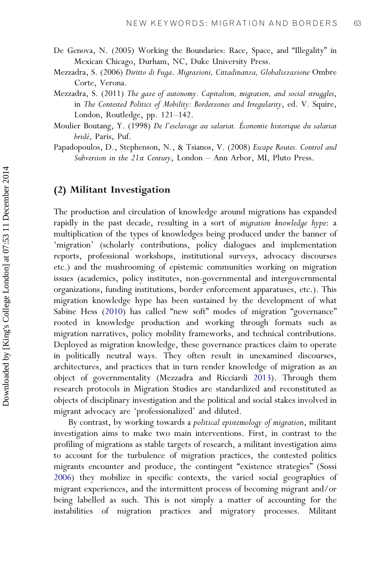- <span id="page-10-0"></span>De Genova, N. (2005) Working the Boundaries: Race, Space, and "Illegality" in Mexican Chicago, Durham, NC, Duke University Press.
- Mezzadra, S. (2006) Diritto di Fuga. Migrazioni, Cittadinanza, Globalizzazione Ombre Corte, Verona.
- Mezzadra, S. (2011) The gaze of autonomy. Capitalism, migration, and social struggles, in The Contested Politics of Mobility: Borderzones and Irregularity, ed. V. Squire, London, Routledge, pp. 121–142.
- Moulier Boutang, Y. (1998) De l'esclavage au salariat. Économie historique du salariat bridé, Paris, Puf.
- Papadopoulos, D., Stephenson, N., & Tsianos, V. (2008) Escape Routes. Control and Subversion in the 21st Century, London - Ann Arbor, MI, Pluto Press.

### (2) Militant Investigation

The production and circulation of knowledge around migrations has expanded rapidly in the past decade, resulting in a sort of migration knowledge hype: a multiplication of the types of knowledges being produced under the banner of 'migration' (scholarly contributions, policy dialogues and implementation reports, professional workshops, institutional surveys, advocacy discourses etc.) and the mushrooming of epistemic communities working on migration issues (academics, policy institutes, non-governmental and intergovernmental organizations, funding institutions, border enforcement apparatuses, etc.). This migration knowledge hype has been sustained by the development of what Sabine Hess ([2010](#page-11-0)) has called "new soft" modes of migration "governance" rooted in knowledge production and working through formats such as migration narratives, policy mobility frameworks, and technical contributions. Deployed as migration knowledge, these governance practices claim to operate in politically neutral ways. They often result in unexamined discourses, architectures, and practices that in turn render knowledge of migration as an object of governmentality (Mezzadra and Ricciardi [2013\)](#page-11-0). Through them research protocols in Migration Studies are standardized and reconstituted as objects of disciplinary investigation and the political and social stakes involved in migrant advocacy are 'professionalized' and diluted.

By contrast, by working towards a political epistemology of migration, militant investigation aims to make two main interventions. First, in contrast to the profiling of migrations as stable targets of research, a militant investigation aims to account for the turbulence of migration practices, the contested politics migrants encounter and produce, the contingent "existence strategies" (Sossi [2006\)](#page-11-0) they mobilize in specific contexts, the varied social geographies of migrant experiences, and the intermittent process of becoming migrant and/or being labelled as such. This is not simply a matter of accounting for the instabilities of migration practices and migratory processes. Militant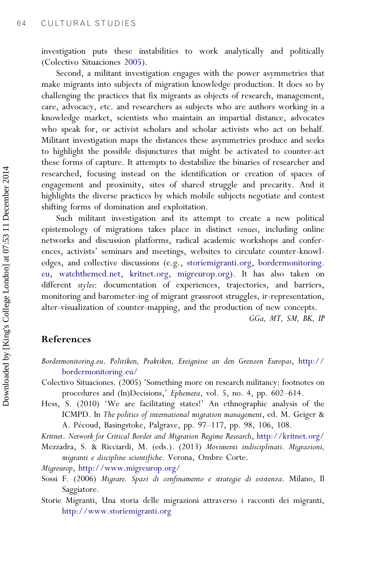<span id="page-11-0"></span>investigation puts these instabilities to work analytically and politically (Colectivo Situaciones 2005).

Second, a militant investigation engages with the power asymmetries that make migrants into subjects of migration knowledge production. It does so by challenging the practices that fix migrants as objects of research, management, care, advocacy, etc. and researchers as subjects who are authors working in a knowledge market, scientists who maintain an impartial distance, advocates who speak for, or activist scholars and scholar activists who act on behalf. Militant investigation maps the distances these asymmetries produce and seeks to highlight the possible disjunctures that might be activated to counter-act these forms of capture. It attempts to destabilize the binaries of researcher and researched, focusing instead on the identification or creation of spaces of engagement and proximity, sites of shared struggle and precarity. And it highlights the diverse practices by which mobile subjects negotiate and contest shifting forms of domination and exploitation.

Such militant investigation and its attempt to create a new political epistemology of migrations takes place in distinct venues, including online networks and discussion platforms, radical academic workshops and conferences, activists' seminars and meetings, websites to circulate counter-knowledges, and collective discussions (e.g., [storiemigranti.org](http://storiemigranti.org), [bordermonitoring.](http://bordermonitoring.eu) [eu,](http://bordermonitoring.eu) [watchthemed.net](http://watchthemed.net), [kritnet.org,](http://kritnet.org) [migreurop.org\)](http://migreurop.org). It has also taken on different styles: documentation of experiences, trajectories, and barriers, monitoring and barometer-ing of migrant grassroot struggles, ir-representation, alter-visualization of counter-mapping, and the production of new concepts.

GGa, MT, SM, BK, IP

### References

- Bordermonitoring.eu. Politiken, Praktiken, Ereignisse an den Grenzen Europas, [http://](http://bordermonitoring.eu/) [bordermonitoring.eu/](http://bordermonitoring.eu/)
- Colectivo Situaciones. (2005) 'Something more on research militancy: footnotes on procedures and (In)Decisions,' Ephemera, vol. 5, no. 4, pp. 602–614.
- Hess, S. (2010) 'We are facilitating states!' An ethnographic analysis of the ICMPD. In The politics of international migration management, ed. M. Geiger & A. Pécoud, Basingstoke, Palgrave, pp. 97–117, pp. 98, 106, 108.

Kritnet. Network for Critical Border and Migration Regime Research, <http://kritnet.org/> Mezzadra, S. & Ricciardi, M. (eds.). (2013) Movimenti indisciplinati. Migrazioni, migranti e discipline scientifiche. Verona, Ombre Corte.

- Migreurop, <http://www.migreurop.org/>
- Sossi F. (2006) Migrare. Spazi di confinamento e strategie di esistenza. Milano, Il Saggiatore.
- Storie Migranti, Una storia delle migrazioni attraverso i racconti dei migranti, <http://www.storiemigranti.org>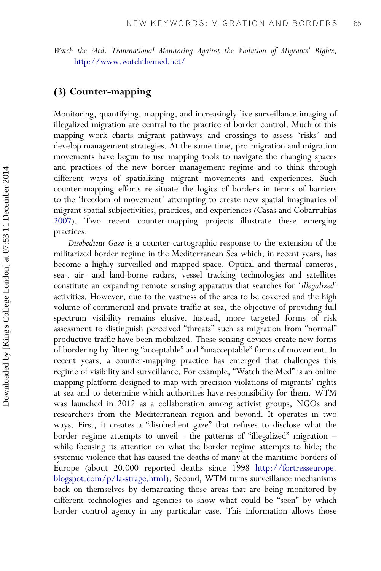Watch the Med. Transnational Monitoring Against the Violation of Migrants' Rights, <http://www.watchthemed.net/>

# (3) Counter-mapping

Monitoring, quantifying, mapping, and increasingly live surveillance imaging of illegalized migration are central to the practice of border control. Much of this mapping work charts migrant pathways and crossings to assess 'risks' and develop management strategies. At the same time, pro-migration and migration movements have begun to use mapping tools to navigate the changing spaces and practices of the new border management regime and to think through different ways of spatializing migrant movements and experiences. Such counter-mapping efforts re-situate the logics of borders in terms of barriers to the 'freedom of movement' attempting to create new spatial imaginaries of migrant spatial subjectivities, practices, and experiences (Casas and Cobarrubias [2007\)](#page-13-0). Two recent counter-mapping projects illustrate these emerging practices.

Disobedient Gaze is a counter-cartographic response to the extension of the militarized border regime in the Mediterranean Sea which, in recent years, has become a highly surveilled and mapped space. Optical and thermal cameras, sea-, air- and land-borne radars, vessel tracking technologies and satellites constitute an expanding remote sensing apparatus that searches for 'illegalized' activities. However, due to the vastness of the area to be covered and the high volume of commercial and private traffic at sea, the objective of providing full spectrum visibility remains elusive. Instead, more targeted forms of risk assessment to distinguish perceived "threats" such as migration from "normal" productive traffic have been mobilized. These sensing devices create new forms of bordering by filtering "acceptable" and "unacceptable" forms of movement. In recent years, a counter-mapping practice has emerged that challenges this regime of visibility and surveillance. For example, "Watch the Med" is an online mapping platform designed to map with precision violations of migrants' rights at sea and to determine which authorities have responsibility for them. WTM was launched in 2012 as a collaboration among activist groups, NGOs and researchers from the Mediterranean region and beyond. It operates in two ways. First, it creates a "disobedient gaze" that refuses to disclose what the border regime attempts to unveil - the patterns of "illegalized" migration – while focusing its attention on what the border regime attempts to hide; the systemic violence that has caused the deaths of many at the maritime borders of Europe (about 20,000 reported deaths since 1998 [http://fortresseurope.](http://fortresseurope.blogspot.com/p/la-strage.html) [blogspot.com/p/la-strage.html\)](http://fortresseurope.blogspot.com/p/la-strage.html). Second, WTM turns surveillance mechanisms back on themselves by demarcating those areas that are being monitored by different technologies and agencies to show what could be "seen" by which border control agency in any particular case. This information allows those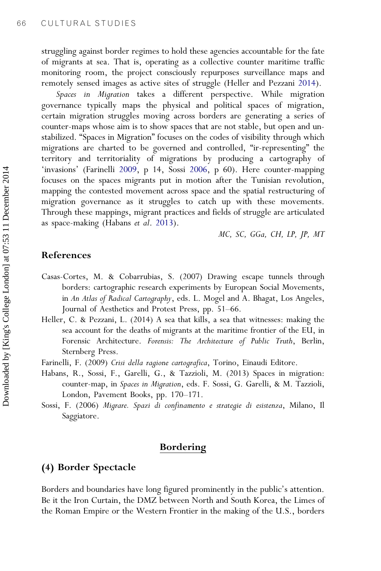<span id="page-13-0"></span>struggling against border regimes to hold these agencies accountable for the fate of migrants at sea. That is, operating as a collective counter maritime traffic monitoring room, the project consciously repurposes surveillance maps and remotely sensed images as active sites of struggle (Heller and Pezzani 2014).

Spaces in Migration takes a different perspective. While migration governance typically maps the physical and political spaces of migration, certain migration struggles moving across borders are generating a series of counter-maps whose aim is to show spaces that are not stable, but open and unstabilized. "Spaces in Migration" focuses on the codes of visibility through which migrations are charted to be governed and controlled, "ir-representing" the territory and territoriality of migrations by producing a cartography of 'invasions' (Farinelli 2009, p 14, Sossi 2006, p 60). Here counter-mapping focuses on the spaces migrants put in motion after the Tunisian revolution, mapping the contested movement across space and the spatial restructuring of migration governance as it struggles to catch up with these movements. Through these mappings, migrant practices and fields of struggle are articulated as space-making (Habans et al. 2013).

MC, SC, GGa, CH, LP, JP, MT

### References

- Casas-Cortes, M. & Cobarrubias, S. (2007) Drawing escape tunnels through borders: cartographic research experiments by European Social Movements, in An Atlas of Radical Cartography, eds. L. Mogel and A. Bhagat, Los Angeles, Journal of Aesthetics and Protest Press, pp. 51–66.
- Heller, C. & Pezzani, L. (2014) A sea that kills, a sea that witnesses: making the sea account for the deaths of migrants at the maritime frontier of the EU, in Forensic Architecture. Forensis: The Architecture of Public Truth, Berlin, Sternberg Press.
- Farinelli, F. (2009) Crisi della ragione cartografica, Torino, Einaudi Editore.
- Habans, R., Sossi, F., Garelli, G., & Tazzioli, M. (2013) Spaces in migration: counter-map, in Spaces in Migration, eds. F. Sossi, G. Garelli, & M. Tazzioli, London, Pavement Books, pp. 170–171.
- Sossi, F. (2006) Migrare. Spazi di confinamento e strategie di esistenza, Milano, Il Saggiatore.

## Bordering

## (4) Border Spectacle

Borders and boundaries have long figured prominently in the public's attention. Be it the Iron Curtain, the DMZ between North and South Korea, the Limes of the Roman Empire or the Western Frontier in the making of the U.S., borders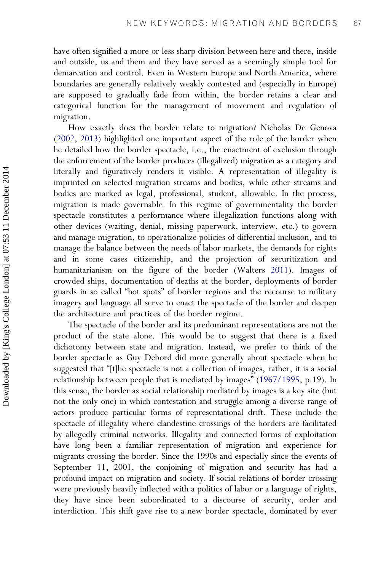have often signified a more or less sharp division between here and there, inside and outside, us and them and they have served as a seemingly simple tool for demarcation and control. Even in Western Europe and North America, where boundaries are generally relatively weakly contested and (especially in Europe) are supposed to gradually fade from within, the border retains a clear and categorical function for the management of movement and regulation of migration.

How exactly does the border relate to migration? Nicholas De Genova ([2002,](#page-15-0) [2013\)](#page-15-0) highlighted one important aspect of the role of the border when he detailed how the border spectacle, i.e., the enactment of exclusion through the enforcement of the border produces (illegalized) migration as a category and literally and figuratively renders it visible. A representation of illegality is imprinted on selected migration streams and bodies, while other streams and bodies are marked as legal, professional, student, allowable. In the process, migration is made governable. In this regime of governmentality the border spectacle constitutes a performance where illegalization functions along with other devices (waiting, denial, missing paperwork, interview, etc.) to govern and manage migration, to operationalize policies of differential inclusion, and to manage the balance between the needs of labor markets, the demands for rights and in some cases citizenship, and the projection of securitization and humanitarianism on the figure of the border (Walters [2011\)](#page-15-0). Images of crowded ships, documentation of deaths at the border, deployments of border guards in so called "hot spots" of border regions and the recourse to military imagery and language all serve to enact the spectacle of the border and deepen the architecture and practices of the border regime.

The spectacle of the border and its predominant representations are not the product of the state alone. This would be to suggest that there is a fixed dichotomy between state and migration. Instead, we prefer to think of the border spectacle as Guy Debord did more generally about spectacle when he suggested that "[t]he spectacle is not a collection of images, rather, it is a social relationship between people that is mediated by images" [\(1967/1995](#page-15-0), p.19). In this sense, the border as social relationship mediated by images is a key site (but not the only one) in which contestation and struggle among a diverse range of actors produce particular forms of representational drift. These include the spectacle of illegality where clandestine crossings of the borders are facilitated by allegedly criminal networks. Illegality and connected forms of exploitation have long been a familiar representation of migration and experience for migrants crossing the border. Since the 1990s and especially since the events of September 11, 2001, the conjoining of migration and security has had a profound impact on migration and society. If social relations of border crossing were previously heavily inflected with a politics of labor or a language of rights, they have since been subordinated to a discourse of security, order and interdiction. This shift gave rise to a new border spectacle, dominated by ever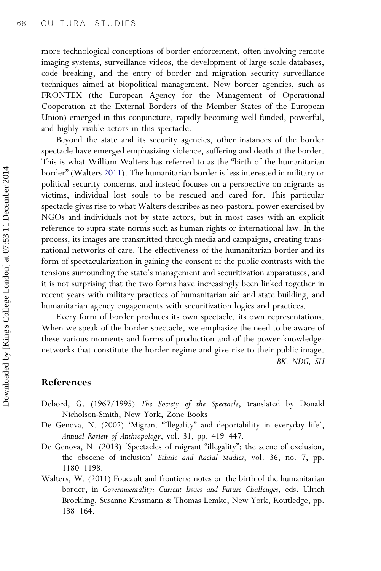<span id="page-15-0"></span>more technological conceptions of border enforcement, often involving remote imaging systems, surveillance videos, the development of large-scale databases, code breaking, and the entry of border and migration security surveillance techniques aimed at biopolitical management. New border agencies, such as FRONTEX (the European Agency for the Management of Operational Cooperation at the External Borders of the Member States of the European Union) emerged in this conjuncture, rapidly becoming well-funded, powerful, and highly visible actors in this spectacle.

Beyond the state and its security agencies, other instances of the border spectacle have emerged emphasizing violence, suffering and death at the border. This is what William Walters has referred to as the "birth of the humanitarian border" (Walters 2011). The humanitarian border is less interested in military or political security concerns, and instead focuses on a perspective on migrants as victims, individual lost souls to be rescued and cared for. This particular spectacle gives rise to what Walters describes as neo-pastoral power exercised by NGOs and individuals not by state actors, but in most cases with an explicit reference to supra-state norms such as human rights or international law. In the process, its images are transmitted through media and campaigns, creating transnational networks of care. The effectiveness of the humanitarian border and its form of spectacularization in gaining the consent of the public contrasts with the tensions surrounding the state's management and securitization apparatuses, and it is not surprising that the two forms have increasingly been linked together in recent years with military practices of humanitarian aid and state building, and humanitarian agency engagements with securitization logics and practices.

Every form of border produces its own spectacle, its own representations. When we speak of the border spectacle, we emphasize the need to be aware of these various moments and forms of production and of the power-knowledgenetworks that constitute the border regime and give rise to their public image. BK, NDG, SH

### References

- Debord, G. (1967/1995) The Society of the Spectacle, translated by Donald Nicholson-Smith, New York, Zone Books
- De Genova, N. (2002) 'Migrant "Illegality" and deportability in everyday life', Annual Review of Anthropology, vol. 31, pp. 419–447.
- De Genova, N. (2013) 'Spectacles of migrant "illegality": the scene of exclusion, the obscene of inclusion' Ethnic and Racial Studies, vol. 36, no. 7, pp. 1180–1198.
- Walters, W. (2011) Foucault and frontiers: notes on the birth of the humanitarian border, in Governmentality: Current Issues and Future Challenges, eds. Ulrich Bröckling, Susanne Krasmann & Thomas Lemke, New York, Routledge, pp. 138–164.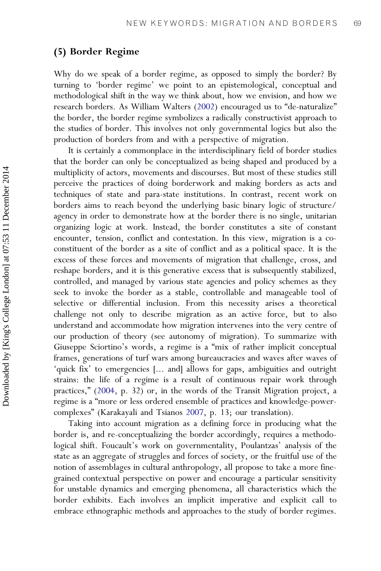# (5) Border Regime

Why do we speak of a border regime, as opposed to simply the border? By turning to 'border regime' we point to an epistemological, conceptual and methodological shift in the way we think about, how we envision, and how we research borders. As William Walters ([2002](#page-17-0)) encouraged us to "de-naturalize" the border, the border regime symbolizes a radically constructivist approach to the studies of border. This involves not only governmental logics but also the production of borders from and with a perspective of migration.

It is certainly a commonplace in the interdisciplinary field of border studies that the border can only be conceptualized as being shaped and produced by a multiplicity of actors, movements and discourses. But most of these studies still perceive the practices of doing borderwork and making borders as acts and techniques of state and para-state institutions. In contrast, recent work on borders aims to reach beyond the underlying basic binary logic of structure/ agency in order to demonstrate how at the border there is no single, unitarian organizing logic at work. Instead, the border constitutes a site of constant encounter, tension, conflict and contestation. In this view, migration is a coconstituent of the border as a site of conflict and as a political space. It is the excess of these forces and movements of migration that challenge, cross, and reshape borders, and it is this generative excess that is subsequently stabilized, controlled, and managed by various state agencies and policy schemes as they seek to invoke the border as a stable, controllable and manageable tool of selective or differential inclusion. From this necessity arises a theoretical challenge not only to describe migration as an active force, but to also understand and accommodate how migration intervenes into the very centre of our production of theory (see autonomy of migration). To summarize with Giuseppe Sciortino's words, a regime is a "mix of rather implicit conceptual frames, generations of turf wars among bureaucracies and waves after waves of 'quick fix' to emergencies [... and] allows for gaps, ambiguities and outright strains: the life of a regime is a result of continuous repair work through practices," ([2004](#page-17-0), p. 32) or, in the words of the Transit Migration project, a regime is a "more or less ordered ensemble of practices and knowledge-powercomplexes" (Karakayali and Tsianos [2007,](#page-17-0) p. 13; our translation).

Taking into account migration as a defining force in producing what the border is, and re-conceptualizing the border accordingly, requires a methodological shift. Foucault's work on governmentality, Poulantzas' analysis of the state as an aggregate of struggles and forces of society, or the fruitful use of the notion of assemblages in cultural anthropology, all propose to take a more finegrained contextual perspective on power and encourage a particular sensitivity for unstable dynamics and emerging phenomena, all characteristics which the border exhibits. Each involves an implicit imperative and explicit call to embrace ethnographic methods and approaches to the study of border regimes.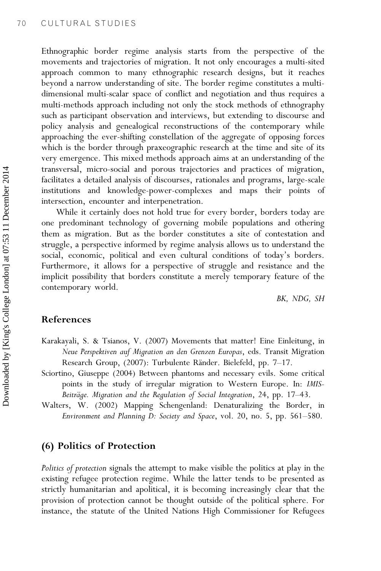<span id="page-17-0"></span>Ethnographic border regime analysis starts from the perspective of the movements and trajectories of migration. It not only encourages a multi-sited approach common to many ethnographic research designs, but it reaches beyond a narrow understanding of site. The border regime constitutes a multidimensional multi-scalar space of conflict and negotiation and thus requires a multi-methods approach including not only the stock methods of ethnography such as participant observation and interviews, but extending to discourse and policy analysis and genealogical reconstructions of the contemporary while approaching the ever-shifting constellation of the aggregate of opposing forces which is the border through praxeographic research at the time and site of its very emergence. This mixed methods approach aims at an understanding of the transversal, micro-social and porous trajectories and practices of migration, facilitates a detailed analysis of discourses, rationales and programs, large-scale institutions and knowledge-power-complexes and maps their points of intersection, encounter and interpenetration.

While it certainly does not hold true for every border, borders today are one predominant technology of governing mobile populations and othering them as migration. But as the border constitutes a site of contestation and struggle, a perspective informed by regime analysis allows us to understand the social, economic, political and even cultural conditions of today's borders. Furthermore, it allows for a perspective of struggle and resistance and the implicit possibility that borders constitute a merely temporary feature of the contemporary world.

BK, NDG, SH

### References

- Karakayali, S. & Tsianos, V. (2007) Movements that matter! Eine Einleitung, in Neue Perspektiven auf Migration an den Grenzen Europas, eds. Transit Migration Research Group, (2007): Turbulente Ränder. Bielefeld, pp. 7–17.
- Sciortino, Giuseppe (2004) Between phantoms and necessary evils. Some critical points in the study of irregular migration to Western Europe. In: IMIS-Beiträge. Migration and the Regulation of Social Integration, 24, pp. 17–43.
- Walters, W. (2002) Mapping Schengenland: Denaturalizing the Border, in Environment and Planning D: Society and Space, vol. 20, no. 5, pp. 561–580.

# (6) Politics of Protection

Politics of protection signals the attempt to make visible the politics at play in the existing refugee protection regime. While the latter tends to be presented as strictly humanitarian and apolitical, it is becoming increasingly clear that the provision of protection cannot be thought outside of the political sphere. For instance, the statute of the United Nations High Commissioner for Refugees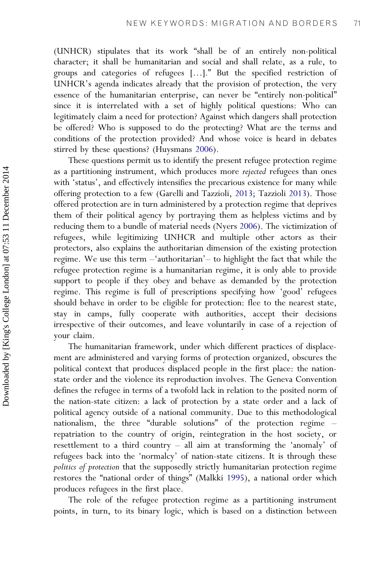(UNHCR) stipulates that its work "shall be of an entirely non-political character; it shall be humanitarian and social and shall relate, as a rule, to groups and categories of refugees […]." But the specified restriction of UNHCR's agenda indicates already that the provision of protection, the very essence of the humanitarian enterprise, can never be "entirely non-political" since it is interrelated with a set of highly political questions: Who can legitimately claim a need for protection? Against which dangers shall protection be offered? Who is supposed to do the protecting? What are the terms and conditions of the protection provided? And whose voice is heard in debates stirred by these questions? (Huysmans [2006\)](#page-19-0).

These questions permit us to identify the present refugee protection regime as a partitioning instrument, which produces more rejected refugees than ones with 'status', and effectively intensifies the precarious existence for many while offering protection to a few (Garelli and Tazzioli, [2013](#page-19-0); Tazzioli [2013](#page-20-0)). Those offered protection are in turn administered by a protection regime that deprives them of their political agency by portraying them as helpless victims and by reducing them to a bundle of material needs (Nyers [2006\)](#page-20-0). The victimization of refugees, while legitimizing UNHCR and multiple other actors as their protectors, also explains the authoritarian dimension of the existing protection regime. We use this term –'authoritarian'– to highlight the fact that while the refugee protection regime is a humanitarian regime, it is only able to provide support to people if they obey and behave as demanded by the protection regime. This regime is full of prescriptions specifying how 'good' refugees should behave in order to be eligible for protection: flee to the nearest state, stay in camps, fully cooperate with authorities, accept their decisions irrespective of their outcomes, and leave voluntarily in case of a rejection of your claim.

The humanitarian framework, under which different practices of displacement are administered and varying forms of protection organized, obscures the political context that produces displaced people in the first place: the nationstate order and the violence its reproduction involves. The Geneva Convention defines the refugee in terms of a twofold lack in relation to the posited norm of the nation-state citizen: a lack of protection by a state order and a lack of political agency outside of a national community. Due to this methodological nationalism, the three "durable solutions" of the protection regime – repatriation to the country of origin, reintegration in the host society, or resettlement to a third country – all aim at transforming the 'anomaly' of refugees back into the 'normalcy' of nation-state citizens. It is through these politics of protection that the supposedly strictly humanitarian protection regime restores the "national order of things" (Malkki [1995\)](#page-20-0), a national order which produces refugees in the first place.

The role of the refugee protection regime as a partitioning instrument points, in turn, to its binary logic, which is based on a distinction between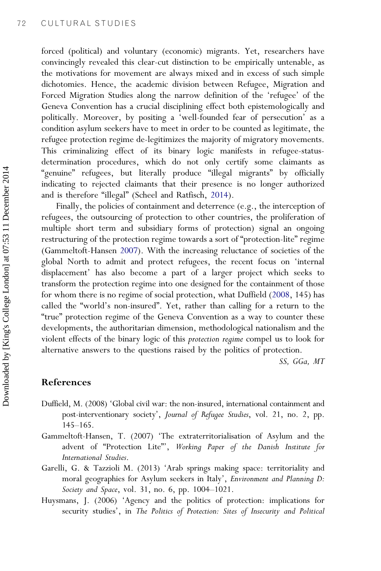<span id="page-19-0"></span>forced (political) and voluntary (economic) migrants. Yet, researchers have convincingly revealed this clear-cut distinction to be empirically untenable, as the motivations for movement are always mixed and in excess of such simple dichotomies. Hence, the academic division between Refugee, Migration and Forced Migration Studies along the narrow definition of the 'refugee' of the Geneva Convention has a crucial disciplining effect both epistemologically and politically. Moreover, by positing a 'well-founded fear of persecution' as a condition asylum seekers have to meet in order to be counted as legitimate, the refugee protection regime de-legitimizes the majority of migratory movements. This criminalizing effect of its binary logic manifests in refugee-statusdetermination procedures, which do not only certify some claimants as "genuine" refugees, but literally produce "illegal migrants" by officially indicating to rejected claimants that their presence is no longer authorized and is therefore "illegal" (Scheel and Ratfisch, [2014](#page-20-0)).

Finally, the policies of containment and deterrence (e.g., the interception of refugees, the outsourcing of protection to other countries, the proliferation of multiple short term and subsidiary forms of protection) signal an ongoing restructuring of the protection regime towards a sort of "protection-lite" regime (Gammeltoft-Hansen 2007). With the increasing reluctance of societies of the global North to admit and protect refugees, the recent focus on 'internal displacement' has also become a part of a larger project which seeks to transform the protection regime into one designed for the containment of those for whom there is no regime of social protection, what Duffield (2008, 145) has called the "world's non-insured". Yet, rather than calling for a return to the "true" protection regime of the Geneva Convention as a way to counter these developments, the authoritarian dimension, methodological nationalism and the violent effects of the binary logic of this protection regime compel us to look for alternative answers to the questions raised by the politics of protection.

SS, GGa, MT

### References

- Duffield, M. (2008) 'Global civil war: the non-insured, international containment and post-interventionary society', Journal of Refugee Studies, vol. 21, no. 2, pp. 145–165.
- Gammeltoft-Hansen, T. (2007) 'The extraterritorialisation of Asylum and the advent of "Protection Lite"', Working Paper of the Danish Institute for International Studies.
- Garelli, G. & Tazzioli M. (2013) 'Arab springs making space: territoriality and moral geographies for Asylum seekers in Italy', Environment and Planning D: Society and Space, vol. 31, no. 6, pp. 1004–1021.
- Huysmans, J. (2006) 'Agency and the politics of protection: implications for security studies', in The Politics of Protection: Sites of Insecurity and Political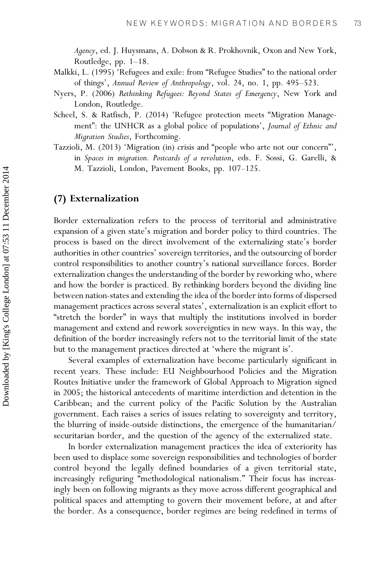<span id="page-20-0"></span>Agency, ed. J. Huysmans, A. Dobson & R. Prokhovnik, Oxon and New York, Routledge, pp. 1–18.

- Malkki, L. (1995) 'Refugees and exile: from "Refugee Studies" to the national order of things', Annual Review of Anthropology, vol. 24, no. 1, pp. 495–523.
- Nyers, P. (2006) Rethinking Refugees: Beyond States of Emergency, New York and London, Routledge.
- Scheel, S. & Ratfisch, P. (2014) 'Refugee protection meets "Migration Management": the UNHCR as a global police of populations', Journal of Ethnic and Migration Studies, Forthcoming.
- Tazzioli, M. (2013) 'Migration (in) crisis and "people who arte not our concern"', in Spaces in migration. Postcards of a revolution, eds. F. Sossi, G. Garelli, & M. Tazzioli, London, Pavement Books, pp. 107–125.

# (7) Externalization

Border externalization refers to the process of territorial and administrative expansion of a given state's migration and border policy to third countries. The process is based on the direct involvement of the externalizing state's border authorities in other countries' sovereign territories, and the outsourcing of border control responsibilities to another country's national surveillance forces. Border externalization changes the understanding of the border by reworking who, where and how the border is practiced. By rethinking borders beyond the dividing line between nation-states and extending the idea of the border into forms of dispersed management practices across several states', externalization is an explicit effort to "stretch the border" in ways that multiply the institutions involved in border management and extend and rework sovereignties in new ways. In this way, the definition of the border increasingly refers not to the territorial limit of the state but to the management practices directed at 'where the migrant is'.

Several examples of externalization have become particularly significant in recent years. These include: EU Neighbourhood Policies and the Migration Routes Initiative under the framework of Global Approach to Migration signed in 2005; the historical antecedents of maritime interdiction and detention in the Caribbean; and the current policy of the Pacific Solution by the Australian government. Each raises a series of issues relating to sovereignty and territory, the blurring of inside-outside distinctions, the emergence of the humanitarian/ securitarian border, and the question of the agency of the externalized state.

In border externalization management practices the idea of exteriority has been used to displace some sovereign responsibilities and technologies of border control beyond the legally defined boundaries of a given territorial state, increasingly refiguring "methodological nationalism." Their focus has increasingly been on following migrants as they move across different geographical and political spaces and attempting to govern their movement before, at and after the border. As a consequence, border regimes are being redefined in terms of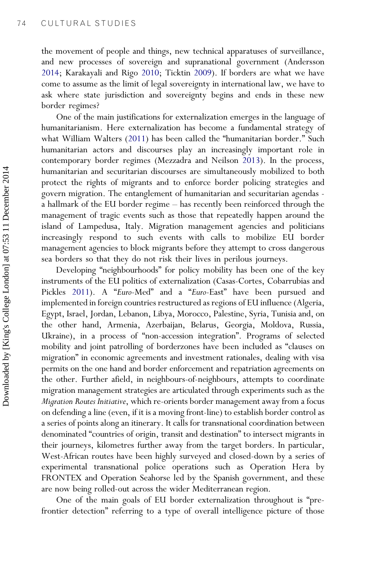the movement of people and things, new technical apparatuses of surveillance, and new processes of sovereign and supranational government (Andersson [2014;](#page-32-0) Karakayali and Rigo [2010;](#page-32-0) Ticktin [2009\)](#page-23-0). If borders are what we have come to assume as the limit of legal sovereignty in international law, we have to ask where state jurisdiction and sovereignty begins and ends in these new border regimes?

One of the main justifications for externalization emerges in the language of humanitarianism. Here externalization has become a fundamental strategy of what William Walters ([2011](#page-15-0)) has been called the "humanitarian border." Such humanitarian actors and discourses play an increasingly important role in contemporary border regimes (Mezzadra and Neilson [2013](#page-32-0)). In the process, humanitarian and securitarian discourses are simultaneously mobilized to both protect the rights of migrants and to enforce border policing strategies and govern migration. The entanglement of humanitarian and securitarian agendas a hallmark of the EU border regime – has recently been reinforced through the management of tragic events such as those that repeatedly happen around the island of Lampedusa, Italy. Migration management agencies and politicians increasingly respond to such events with calls to mobilize EU border management agencies to block migrants before they attempt to cross dangerous sea borders so that they do not risk their lives in perilous journeys.

Developing "neighbourhoods" for policy mobility has been one of the key instruments of the EU politics of externalization (Casas-Cortes, Cobarrubias and Pickles [2011\)](#page-23-0). A "Euro-Med" and a "Euro-East" have been pursued and implemented in foreign countries restructured as regions of EU influence (Algeria, Egypt, Israel, Jordan, Lebanon, Libya, Morocco, Palestine, Syria, Tunisia and, on the other hand, Armenia, Azerbaijan, Belarus, Georgia, Moldova, Russia, Ukraine), in a process of "non-accession integration". Programs of selected mobility and joint patrolling of borderzones have been included as "clauses on migration" in economic agreements and investment rationales, dealing with visa permits on the one hand and border enforcement and repatriation agreements on the other. Further afield, in neighbours-of-neighbours, attempts to coordinate migration management strategies are articulated through experiments such as the Migration Routes Initiative, which re-orients border management away from a focus on defending a line (even, if it is a moving front-line) to establish border control as a series of points along an itinerary. It calls for transnational coordination between denominated "countries of origin, transit and destination" to intersect migrants in their journeys, kilometres further away from the target borders. In particular, West-African routes have been highly surveyed and closed-down by a series of experimental transnational police operations such as Operation Hera by FRONTEX and Operation Seahorse led by the Spanish government, and these are now being rolled-out across the wider Mediterranean region.

One of the main goals of EU border externalization throughout is "prefrontier detection" referring to a type of overall intelligence picture of those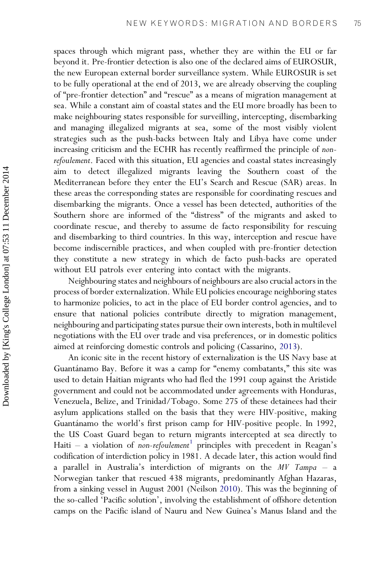spaces through which migrant pass, whether they are within the EU or far beyond it. Pre-frontier detection is also one of the declared aims of EUROSUR, the new European external border surveillance system. While EUROSUR is set to be fully operational at the end of 2013, we are already observing the coupling of "pre-frontier detection" and "rescue" as a means of migration management at sea. While a constant aim of coastal states and the EU more broadly has been to make neighbouring states responsible for surveilling, intercepting, disembarking and managing illegalized migrants at sea, some of the most visibly violent strategies such as the push-backs between Italy and Libya have come under increasing criticism and the ECHR has recently reaffirmed the principle of nonrefoulement. Faced with this situation, EU agencies and coastal states increasingly aim to detect illegalized migrants leaving the Southern coast of the Mediterranean before they enter the EU's Search and Rescue (SAR) areas. In these areas the corresponding states are responsible for coordinating rescues and disembarking the migrants. Once a vessel has been detected, authorities of the Southern shore are informed of the "distress" of the migrants and asked to coordinate rescue, and thereby to assume de facto responsibility for rescuing and disembarking to third countries. In this way, interception and rescue have become indiscernible practices, and when coupled with pre-frontier detection they constitute a new strategy in which de facto push-backs are operated without EU patrols ever entering into contact with the migrants.

Neighbouring states and neighbours of neighbours are also crucial actors in the process of border externalization. While EU policies encourage neighboring states to harmonize policies, to act in the place of EU border control agencies, and to ensure that national policies contribute directly to migration management, neighbouring and participating states pursue their own interests, both in multilevel negotiations with the EU over trade and visa preferences, or in domestic politics aimed at reinforcing domestic controls and policing (Cassarino, [2013\)](#page-23-0).

An iconic site in the recent history of externalization is the US Navy base at Guantánamo Bay. Before it was a camp for "enemy combatants," this site was used to detain Haitian migrants who had fled the 1991 coup against the Aristide government and could not be accommodated under agreements with Honduras, Venezuela, Belize, and Trinidad/Tobago. Some 275 of these detainees had their asylum applications stalled on the basis that they were HIV-positive, making Guantánamo the world's first prison camp for HIV-positive people. In 1992, the US Coast Guard began to return migrants intercepted at sea directly to Haiti – a violation of non-refoulement<sup>[1](#page-23-0)</sup> principles with precedent in Reagan's codification of interdiction policy in 1981. A decade later, this action would find a parallel in Australia's interdiction of migrants on the  $MV$  Tampa – a Norwegian tanker that rescued 438 migrants, predominantly Afghan Hazaras, from a sinking vessel in August 2001 (Neilson [2010\)](#page-23-0). This was the beginning of the so-called 'Pacific solution', involving the establishment of offshore detention camps on the Pacific island of Nauru and New Guinea's Manus Island and the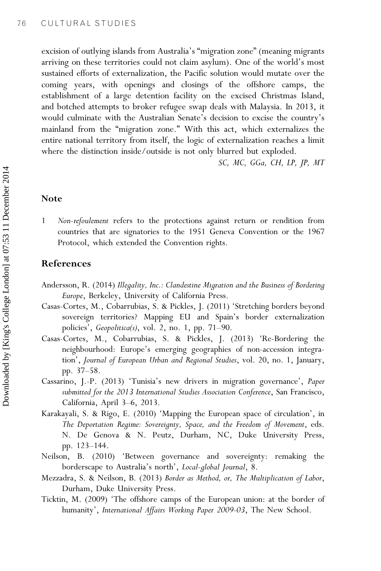<span id="page-23-0"></span>excision of outlying islands from Australia's "migration zone" (meaning migrants arriving on these territories could not claim asylum). One of the world's most sustained efforts of externalization, the Pacific solution would mutate over the coming years, with openings and closings of the offshore camps, the establishment of a large detention facility on the excised Christmas Island, and botched attempts to broker refugee swap deals with Malaysia. In 2013, it would culminate with the Australian Senate's decision to excise the country's mainland from the "migration zone." With this act, which externalizes the entire national territory from itself, the logic of externalization reaches a limit where the distinction inside/outside is not only blurred but exploded.

SC, MC, GGa, CH, LP, JP, MT

#### Note

1 Non-refoulement refers to the protections against return or rendition from countries that are signatories to the 1951 Geneva Convention or the 1967 Protocol, which extended the Convention rights.

### References

- Andersson, R. (2014) Illegality, Inc.: Clandestine Migration and the Business of Bordering Europe, Berkeley, University of California Press.
- Casas-Cortes, M., Cobarrubias, S. & Pickles, J. (2011) 'Stretching borders beyond sovereign territories? Mapping EU and Spain's border externalization policies', Geopolitica(s), vol. 2, no. 1, pp. 71-90.
- Casas-Cortes, M., Cobarrubias, S. & Pickles, J. (2013) 'Re-Bordering the neighbourhood: Europe's emerging geographies of non-accession integration', Journal of European Urban and Regional Studies, vol. 20, no. 1, January, pp. 37–58.
- Cassarino, J.-P. (2013) 'Tunisia's new drivers in migration governance', Paper submitted for the 2013 International Studies Association Conference, San Francisco, California, April 3–6, 2013.
- Karakayali, S. & Rigo, E. (2010) 'Mapping the European space of circulation', in The Deportation Regime: Sovereignty, Space, and the Freedom of Movement, eds. N. De Genova & N. Peutz, Durham, NC, Duke University Press, pp. 123–144.
- Neilson, B. (2010) 'Between governance and sovereignty: remaking the borderscape to Australia's north', Local-global Journal, 8.
- Mezzadra, S. & Neilson, B. (2013) Border as Method, or, The Multiplication of Labor, Durham, Duke University Press.
- Ticktin, M. (2009) 'The offshore camps of the European union: at the border of humanity', International Affairs Working Paper 2009-03, The New School.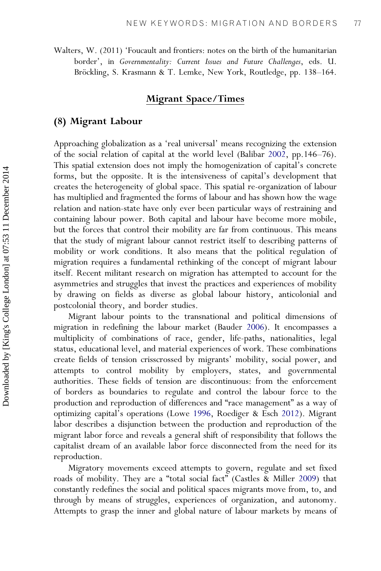Walters, W. (2011) 'Foucault and frontiers: notes on the birth of the humanitarian border', in Governmentality: Current Issues and Future Challenges, eds. U. Bröckling, S. Krasmann & T. Lemke, New York, Routledge, pp. 138–164.

### Migrant Space/Times

# (8) Migrant Labour

Approaching globalization as a 'real universal' means recognizing the extension of the social relation of capital at the world level (Balibar [2002,](#page-25-0) pp.146–76). This spatial extension does not imply the homogenization of capital's concrete forms, but the opposite. It is the intensiveness of capital's development that creates the heterogeneity of global space. This spatial re-organization of labour has multiplied and fragmented the forms of labour and has shown how the wage relation and nation-state have only ever been particular ways of restraining and containing labour power. Both capital and labour have become more mobile, but the forces that control their mobility are far from continuous. This means that the study of migrant labour cannot restrict itself to describing patterns of mobility or work conditions. It also means that the political regulation of migration requires a fundamental rethinking of the concept of migrant labour itself. Recent militant research on migration has attempted to account for the asymmetries and struggles that invest the practices and experiences of mobility by drawing on fields as diverse as global labour history, anticolonial and postcolonial theory, and border studies.

Migrant labour points to the transnational and political dimensions of migration in redefining the labour market (Bauder [2006\)](#page-25-0). It encompasses a multiplicity of combinations of race, gender, life-paths, nationalities, legal status, educational level, and material experiences of work. These combinations create fields of tension crisscrossed by migrants' mobility, social power, and attempts to control mobility by employers, states, and governmental authorities. These fields of tension are discontinuous: from the enforcement of borders as boundaries to regulate and control the labour force to the production and reproduction of differences and "race management" as a way of optimizing capital's operations (Lowe [1996,](#page-25-0) Roediger & Esch [2012\)](#page-25-0). Migrant labor describes a disjunction between the production and reproduction of the migrant labor force and reveals a general shift of responsibility that follows the capitalist dream of an available labor force disconnected from the need for its reproduction.

Migratory movements exceed attempts to govern, regulate and set fixed roads of mobility. They are a "total social fact" (Castles & Miller [2009](#page-25-0)) that constantly redefines the social and political spaces migrants move from, to, and through by means of struggles, experiences of organization, and autonomy. Attempts to grasp the inner and global nature of labour markets by means of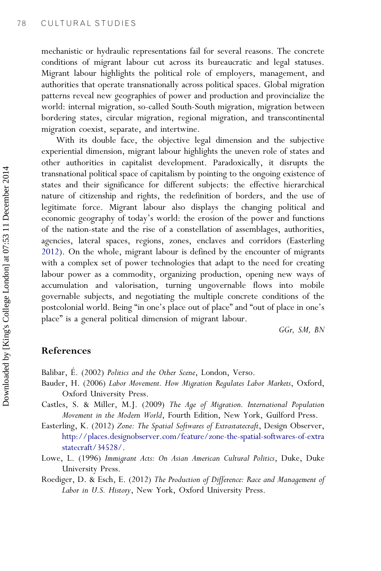<span id="page-25-0"></span>mechanistic or hydraulic representations fail for several reasons. The concrete conditions of migrant labour cut across its bureaucratic and legal statuses. Migrant labour highlights the political role of employers, management, and authorities that operate transnationally across political spaces. Global migration patterns reveal new geographies of power and production and provincialize the world: internal migration, so-called South-South migration, migration between bordering states, circular migration, regional migration, and transcontinental migration coexist, separate, and intertwine.

With its double face, the objective legal dimension and the subjective experiential dimension, migrant labour highlights the uneven role of states and other authorities in capitalist development. Paradoxically, it disrupts the transnational political space of capitalism by pointing to the ongoing existence of states and their significance for different subjects: the effective hierarchical nature of citizenship and rights, the redefinition of borders, and the use of legitimate force. Migrant labour also displays the changing political and economic geography of today's world: the erosion of the power and functions of the nation-state and the rise of a constellation of assemblages, authorities, agencies, lateral spaces, regions, zones, enclaves and corridors (Easterling 2012). On the whole, migrant labour is defined by the encounter of migrants with a complex set of power technologies that adapt to the need for creating labour power as a commodity, organizing production, opening new ways of accumulation and valorisation, turning ungovernable flows into mobile governable subjects, and negotiating the multiple concrete conditions of the postcolonial world. Being "in one's place out of place" and "out of place in one's place" is a general political dimension of migrant labour.

GGr, SM, BN

### References

Balibar, É. (2002) Politics and the Other Scene, London, Verso.

- Bauder, H. (2006) Labor Movement. How Migration Regulates Labor Markets, Oxford, Oxford University Press.
- Castles, S. & Miller, M.J. (2009) The Age of Migration. International Population Movement in the Modern World, Fourth Edition, New York, Guilford Press.
- Easterling, K. (2012) Zone: The Spatial Softwares of Extrastatecraft, Design Observer, [http://places.designobserver.com/feature/zone-the-spatial-softwares-of-extra](http://places.designobserver.com/feature/zone-the-spatial-softwares-of-extrastatecraft/34528/) [statecraft/34528/.](http://places.designobserver.com/feature/zone-the-spatial-softwares-of-extrastatecraft/34528/)
- Lowe, L. (1996) Immigrant Acts: On Asian American Cultural Politics, Duke, Duke University Press.
- Roediger, D. & Esch, E. (2012) The Production of Difference: Race and Management of Labor in U.S. History, New York, Oxford University Press.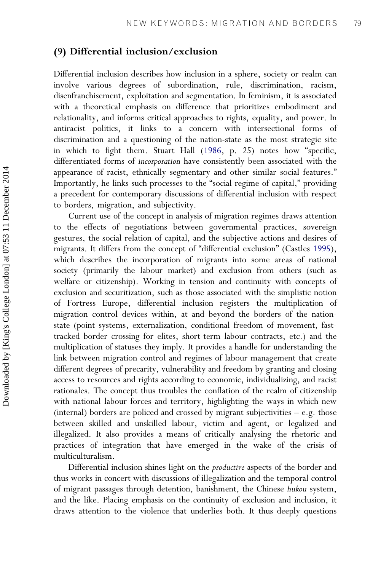# (9) Differential inclusion/exclusion

Differential inclusion describes how inclusion in a sphere, society or realm can involve various degrees of subordination, rule, discrimination, racism, disenfranchisement, exploitation and segmentation. In feminism, it is associated with a theoretical emphasis on difference that prioritizes embodiment and relationality, and informs critical approaches to rights, equality, and power. In antiracist politics, it links to a concern with intersectional forms of discrimination and a questioning of the nation-state as the most strategic site in which to fight them. Stuart Hall ([1986](#page-27-0), p. 25) notes how "specific, differentiated forms of incorporation have consistently been associated with the appearance of racist, ethnically segmentary and other similar social features." Importantly, he links such processes to the "social regime of capital," providing a precedent for contemporary discussions of differential inclusion with respect to borders, migration, and subjectivity.

Current use of the concept in analysis of migration regimes draws attention to the effects of negotiations between governmental practices, sovereign gestures, the social relation of capital, and the subjective actions and desires of migrants. It differs from the concept of "differential exclusion" (Castles [1995](#page-27-0)), which describes the incorporation of migrants into some areas of national society (primarily the labour market) and exclusion from others (such as welfare or citizenship). Working in tension and continuity with concepts of exclusion and securitization, such as those associated with the simplistic notion of Fortress Europe, differential inclusion registers the multiplication of migration control devices within, at and beyond the borders of the nationstate (point systems, externalization, conditional freedom of movement, fasttracked border crossing for elites, short-term labour contracts, etc.) and the multiplication of statuses they imply. It provides a handle for understanding the link between migration control and regimes of labour management that create different degrees of precarity, vulnerability and freedom by granting and closing access to resources and rights according to economic, individualizing, and racist rationales. The concept thus troubles the conflation of the realm of citizenship with national labour forces and territory, highlighting the ways in which new (internal) borders are policed and crossed by migrant subjectivities  $-$  e.g. those between skilled and unskilled labour, victim and agent, or legalized and illegalized. It also provides a means of critically analysing the rhetoric and practices of integration that have emerged in the wake of the crisis of multiculturalism.

Differential inclusion shines light on the *productive* aspects of the border and thus works in concert with discussions of illegalization and the temporal control of migrant passages through detention, banishment, the Chinese hukou system, and the like. Placing emphasis on the continuity of exclusion and inclusion, it draws attention to the violence that underlies both. It thus deeply questions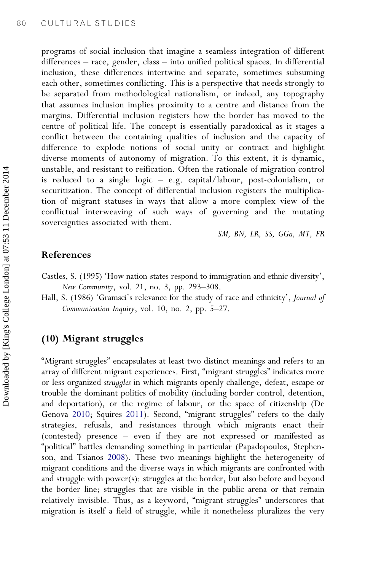<span id="page-27-0"></span>programs of social inclusion that imagine a seamless integration of different differences – race, gender, class – into unified political spaces. In differential inclusion, these differences intertwine and separate, sometimes subsuming each other, sometimes conflicting. This is a perspective that needs strongly to be separated from methodological nationalism, or indeed, any topography that assumes inclusion implies proximity to a centre and distance from the margins. Differential inclusion registers how the border has moved to the centre of political life. The concept is essentially paradoxical as it stages a conflict between the containing qualities of inclusion and the capacity of difference to explode notions of social unity or contract and highlight diverse moments of autonomy of migration. To this extent, it is dynamic, unstable, and resistant to reification. Often the rationale of migration control is reduced to a single logic – e.g. capital/labour, post-colonialism, or securitization. The concept of differential inclusion registers the multiplication of migrant statuses in ways that allow a more complex view of the conflictual interweaving of such ways of governing and the mutating sovereignties associated with them.

SM, BN, LR, SS, GGa, MT, FR

### References

- Castles, S. (1995) 'How nation-states respond to immigration and ethnic diversity', New Community, vol. 21, no. 3, pp. 293–308.
- Hall, S. (1986) 'Gramsci's relevance for the study of race and ethnicity', Journal of Communication Inquiry, vol. 10, no. 2, pp. 5–27.

# (10) Migrant struggles

"Migrant struggles" encapsulates at least two distinct meanings and refers to an array of different migrant experiences. First, "migrant struggles" indicates more or less organized struggles in which migrants openly challenge, defeat, escape or trouble the dominant politics of mobility (including border control, detention, and deportation), or the regime of labour, or the space of citizenship (De Genova [2010](#page-30-0); Squires [2011\)](#page-30-0). Second, "migrant struggles" refers to the daily strategies, refusals, and resistances through which migrants enact their (contested) presence – even if they are not expressed or manifested as "political" battles demanding something in particular (Papadopoulos, Stephenson, and Tsianos [2008](#page-10-0)). These two meanings highlight the heterogeneity of migrant conditions and the diverse ways in which migrants are confronted with and struggle with power(s): struggles at the border, but also before and beyond the border line; struggles that are visible in the public arena or that remain relatively invisible. Thus, as a keyword, "migrant struggles" underscores that migration is itself a field of struggle, while it nonetheless pluralizes the very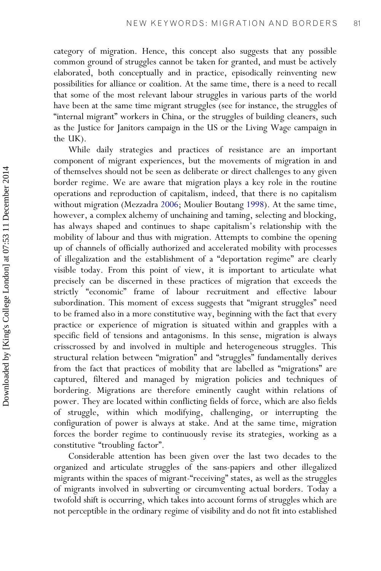category of migration. Hence, this concept also suggests that any possible common ground of struggles cannot be taken for granted, and must be actively elaborated, both conceptually and in practice, episodically reinventing new possibilities for alliance or coalition. At the same time, there is a need to recall that some of the most relevant labour struggles in various parts of the world have been at the same time migrant struggles (see for instance, the struggles of "internal migrant" workers in China, or the struggles of building cleaners, such as the Justice for Janitors campaign in the US or the Living Wage campaign in the UK).

While daily strategies and practices of resistance are an important component of migrant experiences, but the movements of migration in and of themselves should not be seen as deliberate or direct challenges to any given border regime. We are aware that migration plays a key role in the routine operations and reproduction of capitalism, indeed, that there is no capitalism without migration (Mezzadra [2006](#page-30-0); Moulier Boutang [1998\)](#page-10-0). At the same time, however, a complex alchemy of unchaining and taming, selecting and blocking, has always shaped and continues to shape capitalism's relationship with the mobility of labour and thus with migration. Attempts to combine the opening up of channels of officially authorized and accelerated mobility with processes of illegalization and the establishment of a "deportation regime" are clearly visible today. From this point of view, it is important to articulate what precisely can be discerned in these practices of migration that exceeds the strictly "economic" frame of labour recruitment and effective labour subordination. This moment of excess suggests that "migrant struggles" need to be framed also in a more constitutive way, beginning with the fact that every practice or experience of migration is situated within and grapples with a specific field of tensions and antagonisms. In this sense, migration is always crisscrossed by and involved in multiple and heterogeneous struggles. This structural relation between "migration" and "struggles" fundamentally derives from the fact that practices of mobility that are labelled as "migrations" are captured, filtered and managed by migration policies and techniques of bordering. Migrations are therefore eminently caught within relations of power. They are located within conflicting fields of force, which are also fields of struggle, within which modifying, challenging, or interrupting the configuration of power is always at stake. And at the same time, migration forces the border regime to continuously revise its strategies, working as a constitutive "troubling factor".

Considerable attention has been given over the last two decades to the organized and articulate struggles of the sans-papiers and other illegalized migrants within the spaces of migrant-"receiving" states, as well as the struggles of migrants involved in subverting or circumventing actual borders. Today a twofold shift is occurring, which takes into account forms of struggles which are not perceptible in the ordinary regime of visibility and do not fit into established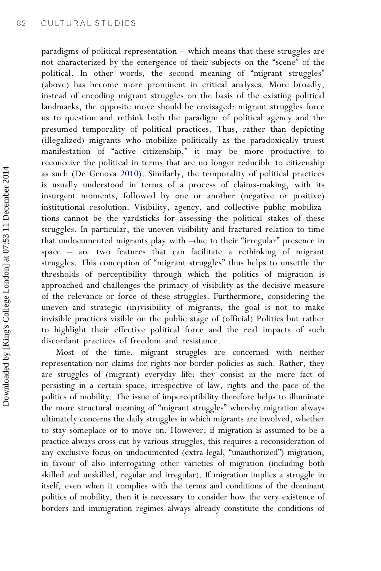paradigms of political representation – which means that these struggles are not characterized by the emergence of their subjects on the "scene" of the political. In other words, the second meaning of "migrant struggles" (above) has become more prominent in critical analyses. More broadly, instead of encoding migrant struggles on the basis of the existing political landmarks, the opposite move should be envisaged: migrant struggles force us to question and rethink both the paradigm of political agency and the presumed temporality of political practices. Thus, rather than depicting (illegalized) migrants who mobilize politically as the paradoxically truest manifestation of "active citizenship," it may be more productive to reconceive the political in terms that are no longer reducible to citizenship as such (De Genova [2010\)](#page-32-0). Similarly, the temporality of political practices is usually understood in terms of a process of claims-making, with its insurgent moments, followed by one or another (negative or positive) institutional resolution. Visibility, agency, and collective public mobilizations cannot be the yardsticks for assessing the political stakes of these struggles. In particular, the uneven visibility and fractured relation to time that undocumented migrants play with –due to their "irregular" presence in space – are two features that can facilitate a rethinking of migrant struggles. This conception of "migrant struggles" thus helps to unsettle the thresholds of perceptibility through which the politics of migration is approached and challenges the primacy of visibility as the decisive measure of the relevance or force of these struggles. Furthermore, considering the uneven and strategic (in)visibility of migrants, the goal is not to make invisible practices visible on the public stage of (official) Politics but rather to highlight their effective political force and the real impacts of such discordant practices of freedom and resistance.

Most of the time, migrant struggles are concerned with neither representation nor claims for rights nor border policies as such. Rather, they are struggles of (migrant) everyday life: they consist in the mere fact of persisting in a certain space, irrespective of law, rights and the pace of the politics of mobility. The issue of imperceptibility therefore helps to illuminate the more structural meaning of "migrant struggles" whereby migration always ultimately concerns the daily struggles in which migrants are involved, whether to stay someplace or to move on. However, if migration is assumed to be a practice always cross-cut by various struggles, this requires a reconsideration of any exclusive focus on undocumented (extra-legal, "unauthorized") migration, in favour of also interrogating other varieties of migration (including both skilled and unskilled, regular and irregular). If migration implies a struggle in itself, even when it complies with the terms and conditions of the dominant politics of mobility, then it is necessary to consider how the very existence of borders and immigration regimes always already constitute the conditions of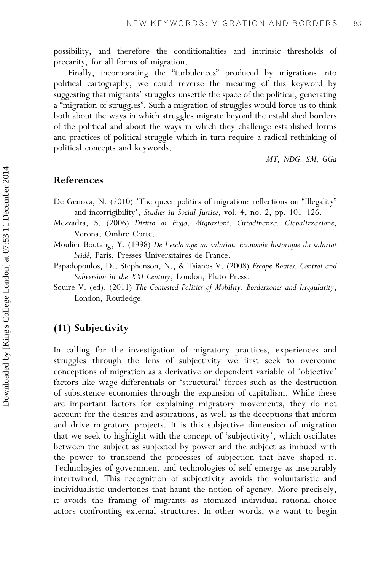<span id="page-30-0"></span>possibility, and therefore the conditionalities and intrinsic thresholds of precarity, for all forms of migration.

Finally, incorporating the "turbulences" produced by migrations into political cartography, we could reverse the meaning of this keyword by suggesting that migrants' struggles unsettle the space of the political, generating a "migration of struggles". Such a migration of struggles would force us to think both about the ways in which struggles migrate beyond the established borders of the political and about the ways in which they challenge established forms and practices of political struggle which in turn require a radical rethinking of political concepts and keywords.

MT, NDG, SM, GGa

### References

- De Genova, N. (2010) 'The queer politics of migration: reflections on "Illegality" and incorrigibility', Studies in Social Justice, vol. 4, no. 2, pp. 101–126.
- Mezzadra, S. (2006) Diritto di Fuga. Migrazioni, Cittadinanza, Globalizzazione, Verona, Ombre Corte.
- Moulier Boutang, Y. (1998) De l'esclavage au salariat. Economie historique du salariat bridé, Paris, Presses Universitaires de France.
- Papadopoulos, D., Stephenson, N., & Tsianos V. (2008) Escape Routes. Control and Subversion in the XXI Century, London, Pluto Press.
- Squire V. (ed). (2011) The Contested Politics of Mobility. Borderzones and Irregularity, London, Routledge.

# (11) Subjectivity

In calling for the investigation of migratory practices, experiences and struggles through the lens of subjectivity we first seek to overcome conceptions of migration as a derivative or dependent variable of 'objective' factors like wage differentials or 'structural' forces such as the destruction of subsistence economies through the expansion of capitalism. While these are important factors for explaining migratory movements, they do not account for the desires and aspirations, as well as the deceptions that inform and drive migratory projects. It is this subjective dimension of migration that we seek to highlight with the concept of 'subjectivity', which oscillates between the subject as subjected by power and the subject as imbued with the power to transcend the processes of subjection that have shaped it. Technologies of government and technologies of self-emerge as inseparably intertwined. This recognition of subjectivity avoids the voluntaristic and individualistic undertones that haunt the notion of agency. More precisely, it avoids the framing of migrants as atomized individual rational-choice actors confronting external structures. In other words, we want to begin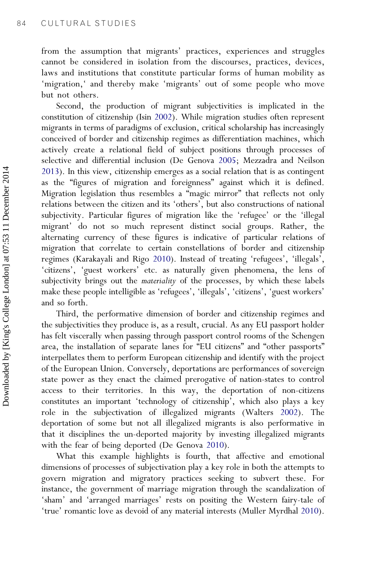from the assumption that migrants' practices, experiences and struggles cannot be considered in isolation from the discourses, practices, devices, laws and institutions that constitute particular forms of human mobility as 'migration,' and thereby make 'migrants' out of some people who move but not others.

Second, the production of migrant subjectivities is implicated in the constitution of citizenship (Isin [2002\)](#page-32-0). While migration studies often represent migrants in terms of paradigms of exclusion, critical scholarship has increasingly conceived of border and citizenship regimes as differentiation machines, which actively create a relational field of subject positions through processes of selective and differential inclusion (De Genova [2005](#page-32-0); Mezzadra and Neilson [2013\)](#page-32-0). In this view, citizenship emerges as a social relation that is as contingent as the "figures of migration and foreignness" against which it is defined. Migration legislation thus resembles a "magic mirror" that reflects not only relations between the citizen and its 'others', but also constructions of national subjectivity. Particular figures of migration like the 'refugee' or the 'illegal migrant' do not so much represent distinct social groups. Rather, the alternating currency of these figures is indicative of particular relations of migration that correlate to certain constellations of border and citizenship regimes (Karakayali and Rigo [2010](#page-32-0)). Instead of treating 'refugees', 'illegals', 'citizens', 'guest workers' etc. as naturally given phenomena, the lens of subjectivity brings out the materiality of the processes, by which these labels make these people intelligible as 'refugees', 'illegals', 'citizens', 'guest workers' and so forth.

Third, the performative dimension of border and citizenship regimes and the subjectivities they produce is, as a result, crucial. As any EU passport holder has felt viscerally when passing through passport control rooms of the Schengen area, the installation of separate lanes for "EU citizens" and "other passports" interpellates them to perform European citizenship and identify with the project of the European Union. Conversely, deportations are performances of sovereign state power as they enact the claimed prerogative of nation-states to control access to their territories. In this way, the deportation of non-citizens constitutes an important 'technology of citizenship', which also plays a key role in the subjectivation of illegalized migrants (Walters [2002](#page-32-0)). The deportation of some but not all illegalized migrants is also performative in that it disciplines the un-deported majority by investing illegalized migrants with the fear of being deported (De Genova [2010](#page-32-0)).

What this example highlights is fourth, that affective and emotional dimensions of processes of subjectivation play a key role in both the attempts to govern migration and migratory practices seeking to subvert these. For instance, the government of marriage migration through the scandalization of 'sham' and 'arranged marriages' rests on positing the Western fairy-tale of 'true' romantic love as devoid of any material interests (Muller Myrdhal [2010](#page-32-0)).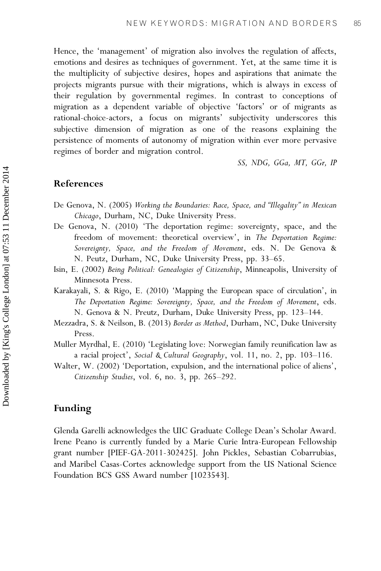<span id="page-32-0"></span>Hence, the 'management' of migration also involves the regulation of affects, emotions and desires as techniques of government. Yet, at the same time it is the multiplicity of subjective desires, hopes and aspirations that animate the projects migrants pursue with their migrations, which is always in excess of their regulation by governmental regimes. In contrast to conceptions of migration as a dependent variable of objective 'factors' or of migrants as rational-choice-actors, a focus on migrants' subjectivity underscores this subjective dimension of migration as one of the reasons explaining the persistence of moments of autonomy of migration within ever more pervasive regimes of border and migration control.

SS, NDG, GGa, MT, GGr, IP

## References

- De Genova, N. (2005) Working the Boundaries: Race, Space, and "Illegality" in Mexican Chicago, Durham, NC, Duke University Press.
- De Genova, N. (2010) 'The deportation regime: sovereignty, space, and the freedom of movement: theoretical overview', in The Deportation Regime: Sovereignty, Space, and the Freedom of Movement, eds. N. De Genova & N. Peutz, Durham, NC, Duke University Press, pp. 33–65.
- Isin, E. (2002) Being Political: Genealogies of Citizenship, Minneapolis, University of Minnesota Press.
- Karakayali, S. & Rigo, E. (2010) 'Mapping the European space of circulation', in The Deportation Regime: Sovereignty, Space, and the Freedom of Movement, eds. N. Genova & N. Preutz, Durham, Duke University Press, pp. 123–144.
- Mezzadra, S. & Neilson, B. (2013) Border as Method, Durham, NC, Duke University Press.
- Muller Myrdhal, E. (2010) 'Legislating love: Norwegian family reunification law as a racial project', Social & Cultural Geography, vol. 11, no. 2, pp. 103–116.
- Walter, W. (2002) 'Deportation, expulsion, and the international police of aliens', Citizenship Studies, vol. 6, no. 3, pp. 265–292.

# Funding

Glenda Garelli acknowledges the UIC Graduate College Dean's Scholar Award. Irene Peano is currently funded by a Marie Curie Intra-European Fellowship grant number [PIEF-GA-2011-302425]. John Pickles, Sebastian Cobarrubias, and Maribel Casas-Cortes acknowledge support from the US National Science Foundation BCS GSS Award number [1023543].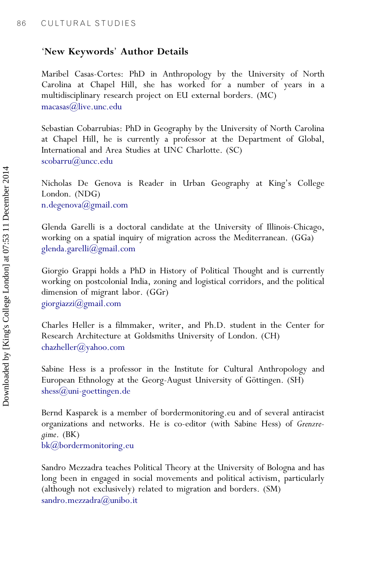# 'New Keywords' Author Details

Maribel Casas-Cortes: PhD in Anthropology by the University of North Carolina at Chapel Hill, she has worked for a number of years in a multidisciplinary research project on EU external borders. (MC) [macasas@live.unc.edu](mailto:macasas@live.unc.edu)

Sebastian Cobarrubias: PhD in Geography by the University of North Carolina at Chapel Hill, he is currently a professor at the Department of Global, International and Area Studies at UNC Charlotte. (SC) [scobarru@uncc.edu](mailto:scobarru@uncc.edu)

Nicholas De Genova is Reader in Urban Geography at King's College London. (NDG) [n.degenova@gmail.com](mailto:n.degenova@gmail.com)

Glenda Garelli is a doctoral candidate at the University of Illinois-Chicago, working on a spatial inquiry of migration across the Mediterranean. (GGa) [glenda.garelli@gmail.com](mailto:glenda.garelli@gmail.com)

Giorgio Grappi holds a PhD in History of Political Thought and is currently working on postcolonial India, zoning and logistical corridors, and the political dimension of migrant labor. (GGr) [giorgiazzi@gmail.com](mailto:giorgiazzi@gmail.com)

Charles Heller is a filmmaker, writer, and Ph.D. student in the Center for Research Architecture at Goldsmiths University of London. (CH) [chazheller@yahoo.com](mailto:chazheller@yahoo.com)

Sabine Hess is a professor in the Institute for Cultural Anthropology and European Ethnology at the Georg-August University of Göttingen. (SH) [shess@uni-goettingen.de](mailto:shess@uni-goettingen.de)

Bernd Kasparek is a member of bordermonitoring.eu and of several antiracist organizations and networks. He is co-editor (with Sabine Hess) of Grenzregime. (BK) [bk@bordermonitoring.eu](mailto:bk@bordermonitoring.eu)

Sandro Mezzadra teaches Political Theory at the University of Bologna and has long been in engaged in social movements and political activism, particularly (although not exclusively) related to migration and borders. (SM) [sandro.mezzadra@unibo.it](mailto:sandro.mezzadra@unibo.it)